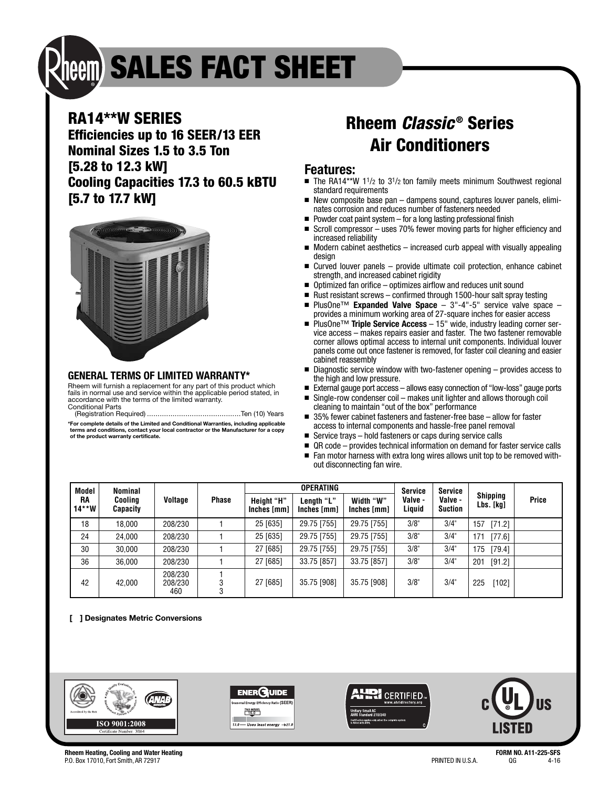# **SALES FACT SHEET**

### **RA14\*\*W SERIES**

**Efficiencies up to 16 SEER/13 EER Nominal Sizes 1.5 to 3.5 Ton [5.28 to 12.3 kW] Cooling Capacities 17.3 to 60.5 kBTU [5.7 to 17.7 kW]**



#### **GENERAL TERMS OF LIMITED WARRANTY\***

Rheem will furnish a replacement for any part of this product which fails in normal use and service within the applicable period stated, in accordance with the terms of the limited warranty. Conditional Parts

(Registration Required) ............................................Ten (10) Years **\*For complete details of the Limited and Conditional Warranties, including applicable terms and conditions, contact your local contractor or the Manufacturer for a copy of the product warranty certificate.**

## **Rheem Classic® Series Air Conditioners**

#### **Features:**

- The RA14\*\*W 1<sup>1</sup>/2 to 3<sup>1</sup>/2 ton family meets minimum Southwest regional standard requirements
- New composite base pan dampens sound, captures louver panels, eliminates corrosion and reduces number of fasteners needed
- Powder coat paint system for a long lasting professional finish
- Scroll compressor uses 70% fewer moving parts for higher efficiency and increased reliability
- Modern cabinet aesthetics increased curb appeal with visually appealing design
- Curved louver panels provide ultimate coil protection, enhance cabinet strength, and increased cabinet rigidity
- Optimized fan orifice optimizes airflow and reduces unit sound
- Rust resistant screws confirmed through 1500-hour salt spray testing<br>■ PlusOne™ **Expanded Valve Space** 3"-4"-5" service valve spac
- PlusOne™ **Expanded Valve Space** 3"-4"-5" service valve space provides a minimum working area of 27-square inches for easier access
- PlusOne<sup>™</sup> Triple Service Access 15" wide, industry leading corner service access – makes repairs easier and faster. The two fastener removable corner allows optimal access to internal unit components. Individual louver panels come out once fastener is removed, for faster coil cleaning and easier cabinet reassembly
- Diagnostic service window with two-fastener opening provides access to the high and low pressure.
- External gauge port access allows easy connection of "low-loss" gauge ports
- Single-row condenser coil makes unit lighter and allows thorough coil cleaning to maintain "out of the box" performance
- 35% fewer cabinet fasteners and fastener-free base allow for faster access to internal components and hassle-free panel removal
- Service trays hold fasteners or caps during service calls
- QR code provides technical information on demand for faster service calls
- Fan motor harness with extra long wires allows unit top to be removed without disconnecting fan wire.

| Model<br>RA<br>$14***W$ | Nominal<br>Cooling<br><b>Capacity</b> | Voltage                   | <b>Phase</b> | <b>OPERATING</b>                 |                           |                          | <b>Service</b>    | Service                   |                              |              |
|-------------------------|---------------------------------------|---------------------------|--------------|----------------------------------|---------------------------|--------------------------|-------------------|---------------------------|------------------------------|--------------|
|                         |                                       |                           |              | <b>Height "H"</b><br>Inches [mm] | Length "L"<br>Inches [mm] | Width "W"<br>Inches [mm] | Valve -<br>Liquid | Valve -<br><b>Suction</b> | <b>Shipping</b><br>Lbs. [kg] | <b>Price</b> |
| 18                      | 18.000                                | 208/230                   |              | 25 [635]                         | 29.75 [755]               | 29.75 [755]              | 3/8"              | 3/4"                      | [71.2]<br>157                |              |
| 24                      | 24.000                                | 208/230                   |              | 25 [635]                         | 29.75 [755]               | 29.75 [755]              | 3/8"              | 3/4"                      | 171<br>[77.6]                |              |
| 30                      | 30.000                                | 208/230                   |              | 27 [685]                         | 29.75 [755]               | 29.75 [755]              | 3/8"              | 3/4"                      | 175<br>[79.4]                |              |
| 36                      | 36.000                                | 208/230                   |              | 27 [685]                         | 33.75 [857]               | 33.75 [857]              | 3/8"              | 3/4"                      | 201<br>[91.2]                |              |
| 42                      | 42,000                                | 208/230<br>208/230<br>460 |              | 27 [685]                         | 35.75 [908]               | 35.75 [908]              | 3/8"              | 3/4"                      | [102]<br>225                 |              |

#### **[ ] Designates Metric Conversions**



**Rheem Heating, Cooling and Water Heating FORM NO. A11-225-SFS** P.O. Box 17010, Fort Smith, AR 72917